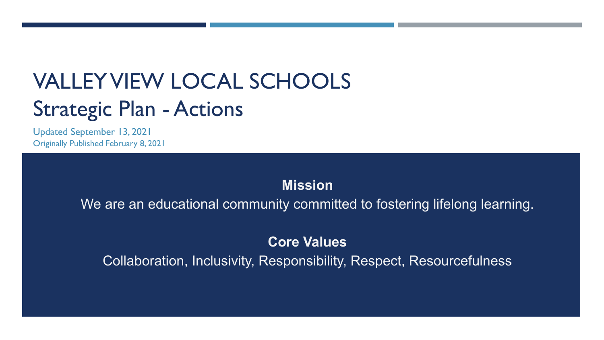# VALLEY VIEW LOCAL SCHOOLS Strategic Plan - Actions

Updated September 13, 2021 Originally Published February 8, 2021

# **Mission**

We are an educational community committed to fostering lifelong learning.

# **Core Values**

Collaboration, Inclusivity, Responsibility, Respect, Resourcefulness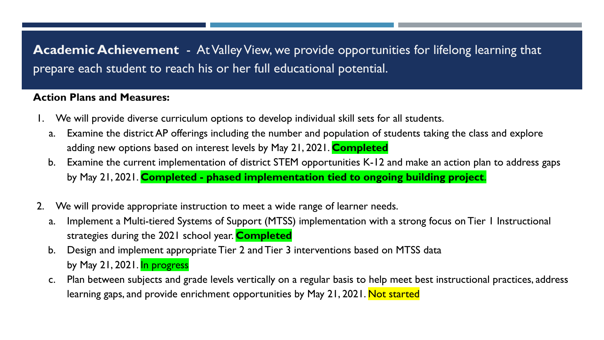**Academic Achievement** - At Valley View, we provide opportunities for lifelong learning that prepare each student to reach his or her full educational potential.

- 1. We will provide diverse curriculum options to develop individual skill sets for all students.
	- a. Examine the district AP offerings including the number and population of students taking the class and explore adding new options based on interest levels by May 21, 2021. **Completed**
	- b. Examine the current implementation of district STEM opportunities K-12 and make an action plan to address gaps by May 21, 2021. **Completed - phased implementation tied to ongoing building project**.
- 2. We will provide appropriate instruction to meet a wide range of learner needs.
	- a. Implement a Multi-tiered Systems of Support (MTSS) implementation with a strong focus on Tier 1 Instructional strategies during the 2021 school year. **Completed**
	- b. Design and implement appropriate Tier 2 and Tier 3 interventions based on MTSS data by May 21, 2021. In progress
	- c. Plan between subjects and grade levels vertically on a regular basis to help meet best instructional practices, address learning gaps, and provide enrichment opportunities by May 21, 2021. Not started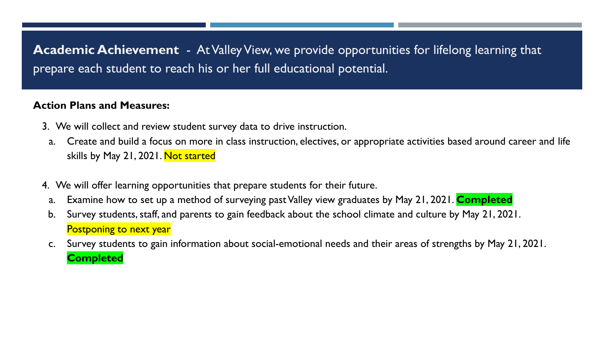**Academic Achievement** - At Valley View, we provide opportunities for lifelong learning that prepare each student to reach his or her full educational potential.

- 3. We will collect and review student survey data to drive instruction.
- a. Create and build a focus on more in class instruction, electives, or appropriate activities based around career and life skills by May 21, 2021. Not started
- 4. We will offer learning opportunities that prepare students for their future.
	- a. Examine how to set up a method of surveying past Valley view graduates by May 21, 2021. **Completed**
- b. Survey students, staff, and parents to gain feedback about the school climate and culture by May 21, 2021. Postponing to next year
- c. Survey students to gain information about social-emotional needs and their areas of strengths by May 21, 2021. **Completed**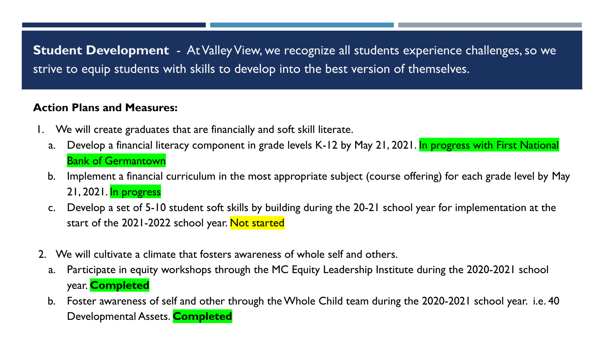**Student Development** - At Valley View, we recognize all students experience challenges, so we strive to equip students with skills to develop into the best version of themselves.

- 1. We will create graduates that are financially and soft skill literate.
	- a. Develop a financial literacy component in grade levels K-12 by May 21, 2021. In progress with First National Bank of Germantown
	- b. Implement a financial curriculum in the most appropriate subject (course offering) for each grade level by May 21, 2021. In progress
	- c. Develop a set of 5-10 student soft skills by building during the 20-21 school year for implementation at the start of the 2021-2022 school year. Not started
- 2. We will cultivate a climate that fosters awareness of whole self and others.
	- a. Participate in equity workshops through the MC Equity Leadership Institute during the 2020-2021 school year. **Completed**
	- b. Foster awareness of self and other through the Whole Child team during the 2020-2021 school year. i.e. 40 Developmental Assets. **Completed**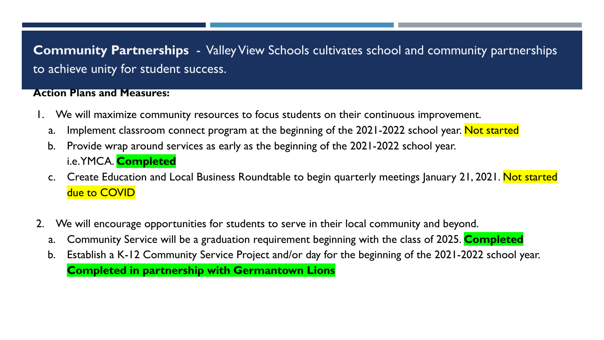**Community Partnerships** - Valley View Schools cultivates school and community partnerships to achieve unity for student success.

- 1. We will maximize community resources to focus students on their continuous improvement.
	- a. Implement classroom connect program at the beginning of the 2021-2022 school year. Not started
	- b. Provide wrap around services as early as the beginning of the 2021-2022 school year. i.e. YMCA. **Completed**
	- c. Create Education and Local Business Roundtable to begin quarterly meetings January 21, 2021. Not started due to COVID
- 2. We will encourage opportunities for students to serve in their local community and beyond.
	- a. Community Service will be a graduation requirement beginning with the class of 2025. **Completed**
	- b. Establish a K-12 Community Service Project and/or day for the beginning of the 2021-2022 school year. **Completed in partnership with Germantown Lions**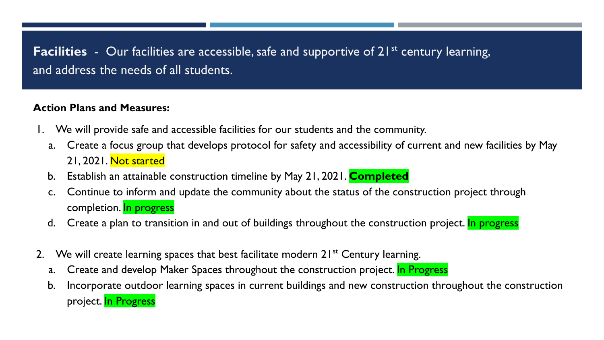**Facilities** - Our facilities are accessible, safe and supportive of 21<sup>st</sup> century learning, and address the needs of all students.

- 1. We will provide safe and accessible facilities for our students and the community.
	- a. Create a focus group that develops protocol for safety and accessibility of current and new facilities by May 21, 2021. Not started
	- b. Establish an attainable construction timeline by May 21, 2021. **Completed**
	- c. Continue to inform and update the community about the status of the construction project through completion. In progress
	- d. Create a plan to transition in and out of buildings throughout the construction project. In progress
- We will create learning spaces that best facilitate modern 21<sup>st</sup> Century learning.
	- a. Create and develop Maker Spaces throughout the construction project. In Progress
	- b. Incorporate outdoor learning spaces in current buildings and new construction throughout the construction project. In Progress